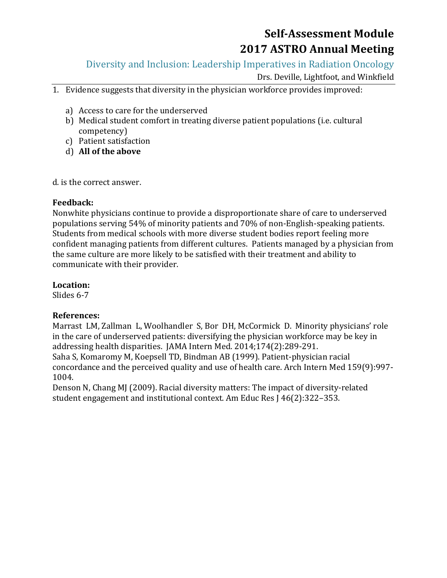Diversity and Inclusion: Leadership Imperatives in Radiation Oncology

Drs. Deville, Lightfoot, and Winkfield

- 1. Evidence suggests that diversity in the physician workforce provides improved:
	- a) Access to care for the underserved
	- b) Medical student comfort in treating diverse patient populations (i.e. cultural competency)
	- c) Patient satisfaction
	- d) **All of the above**

d. is the correct answer.

#### **Feedback:**

Nonwhite physicians continue to provide a disproportionate share of care to underserved populations serving 54% of minority patients and 70% of non-English-speaking patients. Students from medical schools with more diverse student bodies report feeling more confident managing patients from different cultures. Patients managed by a physician from the same culture are more likely to be satisfied with their treatment and ability to communicate with their provider.

#### **Location:**

Slides 6-7

#### **References:**

Marrast LM, Zallman L, Woolhandler S, Bor DH, McCormick D. Minority physicians' role in the care of underserved patients: diversifying the physician workforce may be key in addressing health disparities. JAMA Intern Med. 2014;174(2):289-291. Saha S, Komaromy M, Koepsell TD, Bindman AB (1999). Patient-physician racial

concordance and the perceived quality and use of health care. Arch Intern Med 159(9):997- 1004.

Denson N, Chang MJ (2009). Racial diversity matters: The impact of diversity-related student engagement and institutional context. Am Educ Res J 46(2):322–353.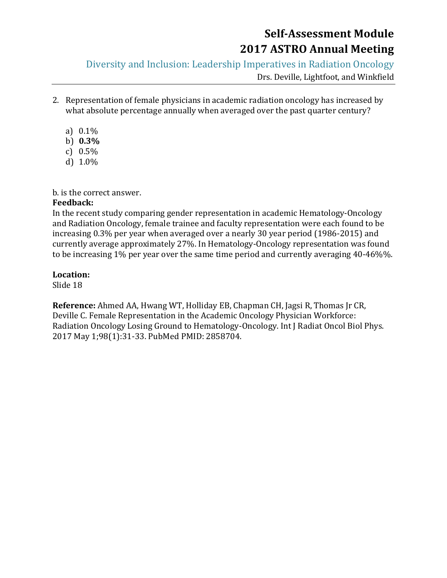Diversity and Inclusion: Leadership Imperatives in Radiation Oncology

Drs. Deville, Lightfoot, and Winkfield

- 2. Representation of female physicians in academic radiation oncology has increased by what absolute percentage annually when averaged over the past quarter century?
	- a) 0.1%
	- b) **0.3%**
	- c) 0.5%
	- d) 1.0%

b. is the correct answer.

### **Feedback:**

In the recent study comparing gender representation in academic Hematology-Oncology and Radiation Oncology, female trainee and faculty representation were each found to be increasing 0.3% per year when averaged over a nearly 30 year period (1986-2015) and currently average approximately 27%. In Hematology-Oncology representation was found to be increasing 1% per year over the same time period and currently averaging 40-46%%.

## **Location:**

Slide 18

**Reference:** Ahmed AA, Hwang WT, Holliday EB, Chapman CH, Jagsi R, Thomas Jr CR, Deville C. Female Representation in the Academic Oncology Physician Workforce: Radiation Oncology Losing Ground to Hematology-Oncology. Int J Radiat Oncol Biol Phys. 2017 May 1;98(1):31-33. PubMed PMID: 2858704.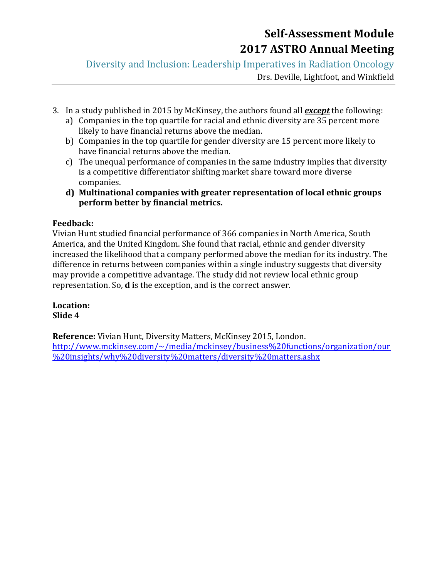Diversity and Inclusion: Leadership Imperatives in Radiation Oncology

Drs. Deville, Lightfoot, and Winkfield

- 3. In a study published in 2015 by McKinsey, the authors found all *except* the following:
	- a) Companies in the top quartile for racial and ethnic diversity are 35 percent more likely to have financial returns above the median.
	- b) Companies in the top quartile for gender diversity are 15 percent more likely to have financial returns above the median.
	- c) The unequal performance of companies in the same industry implies that diversity is a competitive differentiator shifting market share toward more diverse companies.
	- **d) Multinational companies with greater representation of local ethnic groups perform better by financial metrics.**

### **Feedback:**

Vivian Hunt studied financial performance of 366 companies in North America, South America, and the United Kingdom. She found that racial, ethnic and gender diversity increased the likelihood that a company performed above the median for its industry. The difference in returns between companies within a single industry suggests that diversity may provide a competitive advantage. The study did not review local ethnic group representation. So, **d i**s the exception, and is the correct answer.

**Location: Slide 4**

**Reference:** Vivian Hunt, Diversity Matters, McKinsey 2015, London. [http://www.mckinsey.com/~/media/mckinsey/business%20functions/organization/our](http://www.mckinsey.com/~/media/mckinsey/business%20functions/organization/our%20insights/why%20diversity%20matters/diversity%20matters.ashx) [%20insights/why%20diversity%20matters/diversity%20matters.ashx](http://www.mckinsey.com/~/media/mckinsey/business%20functions/organization/our%20insights/why%20diversity%20matters/diversity%20matters.ashx)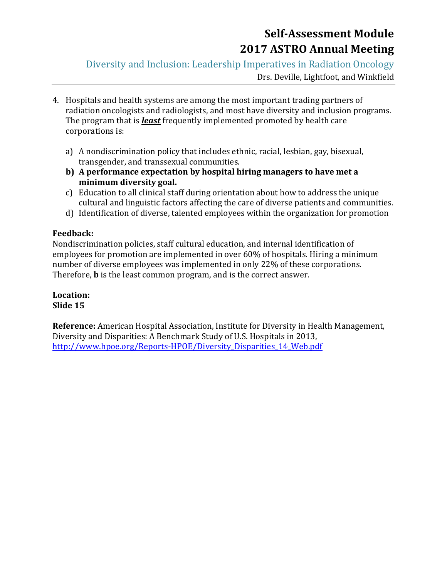Diversity and Inclusion: Leadership Imperatives in Radiation Oncology

Drs. Deville, Lightfoot, and Winkfield

- 4. Hospitals and health systems are among the most important trading partners of radiation oncologists and radiologists, and most have diversity and inclusion programs. The program that is *least* frequently implemented promoted by health care corporations is:
	- a) A nondiscrimination policy that includes ethnic, racial, lesbian, gay, bisexual, transgender, and transsexual communities.
	- **b) A performance expectation by hospital hiring managers to have met a minimum diversity goal.**
	- c) Education to all clinical staff during orientation about how to address the unique cultural and linguistic factors affecting the care of diverse patients and communities.
	- d) Identification of diverse, talented employees within the organization for promotion

### **Feedback:**

Nondiscrimination policies, staff cultural education, and internal identification of employees for promotion are implemented in over 60% of hospitals. Hiring a minimum number of diverse employees was implemented in only 22% of these corporations. Therefore, **b** is the least common program, and is the correct answer.

**Location: Slide 15**

**Reference:** American Hospital Association, Institute for Diversity in Health Management, Diversity and Disparities: A Benchmark Study of U.S. Hospitals in 2013, [http://www.hpoe.org/Reports-HPOE/Diversity\\_Disparities\\_14\\_Web.pdf](http://www.hpoe.org/Reports-HPOE/Diversity_Disparities_14_Web.pdf)